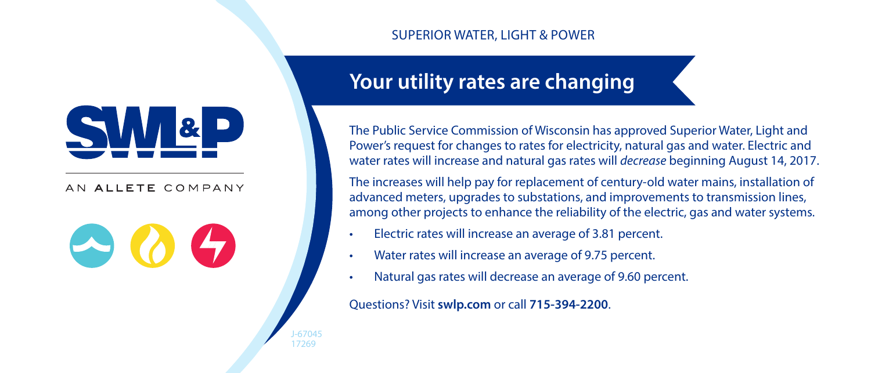## AN ALLETE COMPANY



J-67045 17269

# SUPERIOR WATER, LIGHT & POWER

# **Your utility rates are changing**

The Public Service Commission of Wisconsin has approved Superior Water, Light and Power's request for changes to rates for electricity, natural gas and water. Electric and water rates will increase and natural gas rates will *decrease* beginning August 14, 2017.

The increases will help pay for replacement of century-old water mains, installation of advanced meters, upgrades to substations, and improvements to transmission lines, among other projects to enhance the reliability of the electric, gas and water systems.

- Electric rates will increase an average of 3.81 percent.
- Water rates will increase an average of 9.75 percent.
- Natural gas rates will decrease an average of 9.60 percent.

Questions? Visit **swlp.com** or call **715-394-2200**.